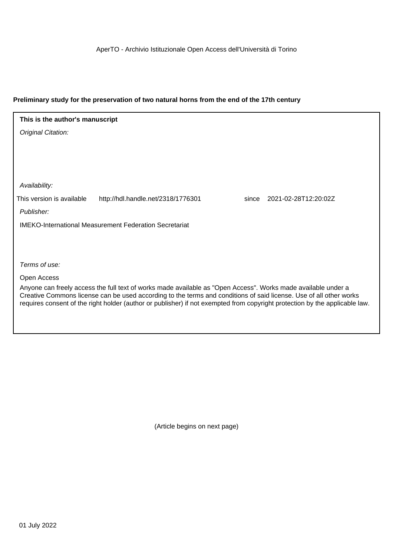## **Preliminary study for the preservation of two natural horns from the end of the 17th century**

Original Citation: Publisher: Terms of use: Availability: IMEKO-International Measurement Federation Secretariat **This is the author's manuscript** This version is available http://hdl.handle.net/2318/1776301 since 2021-02-28T12:20:02Z

Open Access

Anyone can freely access the full text of works made available as "Open Access". Works made available under a Creative Commons license can be used according to the terms and conditions of said license. Use of all other works requires consent of the right holder (author or publisher) if not exempted from copyright protection by the applicable law.

(Article begins on next page)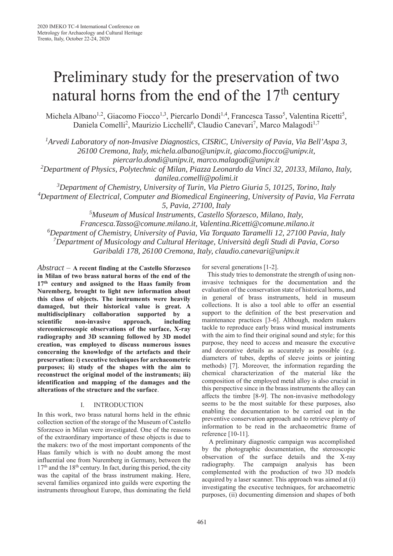# Preliminary study for the preservation of two natural horns from the end of the  $17<sup>th</sup>$  century

Michela Albano<sup>1,2</sup>, Giacomo Fiocco<sup>1,3</sup>, Piercarlo Dondi<sup>1,4</sup>, Francesca Tasso<sup>5</sup>, Valentina Ricetti<sup>5</sup>, Daniela Comelli<sup>2</sup>, Maurizio Licchelli<sup>6</sup>, Claudio Canevari<sup>7</sup>, Marco Malagodi<sup>1,7</sup>

<sup>1</sup> Arvedi Laboratory of non-Invasive Diagnostics, CISRiC, University of Pavia, Via Bell'Aspa 3,

*26100 Cremona, Italy, michela.albano@unipv.it, giacomo.fiocco@unipv.it,* 

*piercarlo.dondi@unipv.it, marco.malagodi@unipv.it*

*2 Department of Physics, Polytechnic of Milan, Piazza Leonardo da Vinci 32, 20133, Milano, Italy, danilea.comelli@polimi.it*

*3 Department of Chemistry, University of Turin, Via Pietro Giuria 5, 10125, Torino, Italy*

*4 Department of Electrical, Computer and Biomedical Engineering, University of Pavia, Via Ferrata 5, Pavia, 27100, Italy*

*5 Museum of Musical Instruments, Castello Sforzesco, Milano, Italy, Francesca.Tasso@comune.milano.it, Valentina.Ricetti@comune.milano.it 6 Department of Chemistry, University of Pavia, Via Torquato Taramelli 12, 27100 Pavia, Italy 7 Department of Musicology and Cultural Heritage, Università degli Studi di Pavia, Corso Garibaldi 178, 26100 Cremona, Italy, claudio.canevari@unipv.it*

*Abstract* – **A recent finding at the Castello Sforzesco in Milan of two brass natural horns of the end of the 17th century and assigned to the Haas family from Nuremberg, brought to light new information about this class of objects. The instruments were heavily damaged, but their historical value is great. A multidisciplinary collaboration supported by a scientific non-invasive approach, including stereomicroscopic observations of the surface, X-ray radiography and 3D scanning followed by 3D model creation, was employed to discuss numerous issues concerning the knowledge of the artefacts and their preservation: i) executive techniques for archaeometric purposes; ii) study of the shapes with the aim to reconstruct the original model of the instruments; iii) identification and mapping of the damages and the alterations of the structure and the surface**.

## I. INTRODUCTION

In this work, two brass natural horns held in the ethnic collection section of the storage of the Museum of Castello Sforzesco in Milan were investigated. One of the reasons of the extraordinary importance of these objects is due to the makers: two of the most important components of the Haas family which is with no doubt among the most influential one from Nuremberg in Germany, between the 17<sup>th</sup> and the 18<sup>th</sup> century. In fact, during this period, the city was the capital of the brass instrument making. Here, several families organized into guilds were exporting the instruments throughout Europe, thus dominating the field for several generations [1-2].

This study tries to demonstrate the strength of using noninvasive techniques for the documentation and the evaluation of the conservation state of historical horns, and in general of brass instruments, held in museum collections. It is also a tool able to offer an essential support to the definition of the best preservation and maintenance practices [3-6]. Although, modern makers tackle to reproduce early brass wind musical instruments with the aim to find their original sound and style; for this purpose, they need to access and measure the executive and decorative details as accurately as possible (e.g. diameters of tubes, depths of sleeve joints or jointing methods) [7]. Moreover, the information regarding the chemical characterization of the material like the composition of the employed metal alloy is also crucial in this perspective since in the brass instruments the alloy can affects the timbre [8-9]. The non-invasive methodology seems to be the most suitable for these purposes, also enabling the documentation to be carried out in the preventive conservation approach and to retrieve plenty of information to be read in the archaeometric frame of reference [10-11].

 A preliminary diagnostic campaign was accomplished by the photographic documentation, the stereoscopic observation of the surface details and the X-ray radiography. The campaign analysis has been complemented with the production of two 3D models acquired by a laser scanner. This approach was aimed at (i) investigating the executive techniques, for archaeometric purposes, (ii) documenting dimension and shapes of both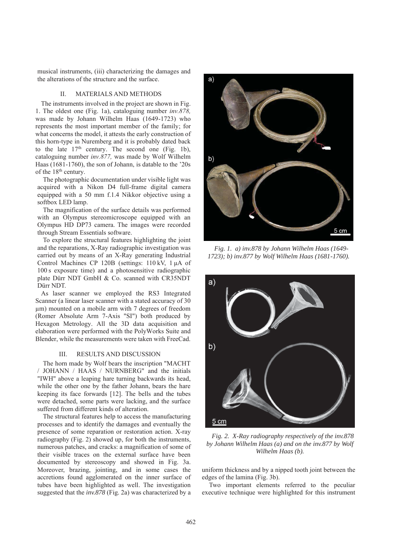musical instruments, (iii) characterizing the damages and the alterations of the structure and the surface.

#### II. MATERIALS AND METHODS

The instruments involved in the project are shown in Fig. 1. The oldest one (Fig. 1a), cataloguing number *inv.878,* was made by Johann Wilhelm Haas (1649-1723) who represents the most important member of the family; for what concerns the model, it attests the early construction of this horn-type in Nuremberg and it is probably dated back to the late  $17<sup>th</sup>$  century. The second one (Fig. 1b), cataloguing number *inv.877,* was made by Wolf Wilhelm Haas (1681-1760), the son of Johann, is datable to the '20s of the 18<sup>th</sup> century.

The photographic documentation under visible light was acquired with a Nikon D4 full-frame digital camera equipped with a 50 mm f.1.4 Nikkor objective using a softbox LED lamp.

The magnification of the surface details was performed with an Olympus stereomicroscope equipped with an Olympus HD DP73 camera. The images were recorded through Stream Essentials software.

To explore the structural features highlighting the joint and the reparations, X-Ray radiographic investigation was carried out by means of an X-Ray generating Industrial Control Machines CP 120B (settings: 110 kV, 1 μA of 100 s exposure time) and a photosensitive radiographic plate Dürr NDT GmbH & Co. scanned with CR35NDT Dürr NDT.

As laser scanner we employed the RS3 Integrated Scanner (a linear laser scanner with a stated accuracy of 30 μm) mounted on a mobile arm with 7 degrees of freedom (Romer Absolute Arm 7-Axis "SI") both produced by Hexagon Metrology. All the 3D data acquisition and elaboration were performed with the PolyWorks Suite and Blender, while the measurements were taken with FreeCad.

#### III. RESULTS AND DISCUSSION

The horn made by Wolf bears the inscription "MACHT / JOHANN / HAAS / NURNBERG" and the initials "IWH" above a leaping hare turning backwards its head, while the other one by the father Johann, bears the hare keeping its face forwards [12]. The bells and the tubes were detached, some parts were lacking, and the surface suffered from different kinds of alteration.

The structural features help to access the manufacturing processes and to identify the damages and eventually the presence of some reparation or restoration action. X-ray radiography (Fig. 2) showed up, for both the instruments, numerous patches, and cracks: a magnification of some of their visible traces on the external surface have been documented by stereoscopy and showed in Fig. 3a. Moreover, brazing, jointing, and in some cases the accretions found agglomerated on the inner surface of tubes have been highlighted as well. The investigation suggested that the *inv.878* (Fig. 2a) was characterized by a



*Fig. 1. a) inv.878 by Johann Wilhelm Haas (1649- 1723); b) inv.877 by Wolf Wilhelm Haas (1681-1760).*



*Fig. 2. X-Ray radiography respectively of the inv.878 by Johann Wilhelm Haas (a) and on the inv.877 by Wolf Wilhelm Haas (b).*

uniform thickness and by a nipped tooth joint between the edges of the lamina (Fig. 3b).

 Two important elements referred to the peculiar executive technique were highlighted for this instrument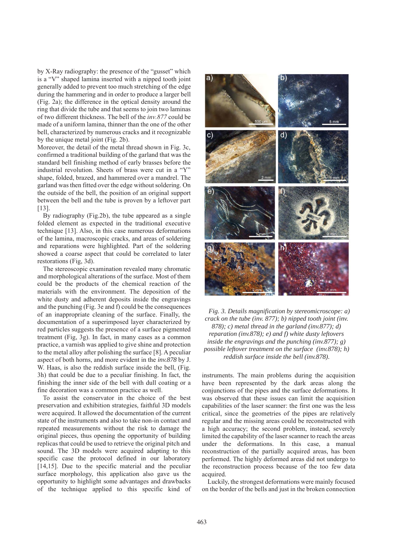by X-Ray radiography: the presence of the "gusset" which is a "V" shaped lamina inserted with a nipped tooth joint generally added to prevent too much stretching of the edge during the hammering and in order to produce a larger bell (Fig. 2a); the difference in the optical density around the ring that divide the tube and that seems to join two laminas of two different thickness. The bell of the *inv.877* could be made of a uniform lamina, thinner than the one of the other bell, characterized by numerous cracks and it recognizable by the unique metal joint (Fig. 2b).

Moreover, the detail of the metal thread shown in Fig. 3c, confirmed a traditional building of the garland that was the standard bell finishing method of early brasses before the industrial revolution. Sheets of brass were cut in a "Y" shape, folded, brazed, and hammered over a mandrel. The garland was then fitted over the edge without soldering. On the outside of the bell, the position of an original support between the bell and the tube is proven by a leftover part [13].

By radiography (Fig.2b), the tube appeared as a single folded element as expected in the traditional executive technique [13]. Also, in this case numerous deformations of the lamina, macroscopic cracks, and areas of soldering and reparations were highlighted. Part of the soldering showed a coarse aspect that could be correlated to later restorations (Fig, 3d).

The stereoscopic examination revealed many chromatic and morphological alterations of the surface. Most of them could be the products of the chemical reaction of the materials with the environment. The deposition of the white dusty and adherent deposits inside the engravings and the punching (Fig. 3e and f) could be the consequences of an inappropriate cleaning of the surface. Finally, the documentation of a superimposed layer characterized by red particles suggests the presence of a surface pigmented treatment (Fig, 3g). In fact, in many cases as a common practice, a varnish was applied to give shine and protection to the metal alloy after polishing the surface [8]. A peculiar aspect of both horns, and more evident in the *inv.878* by J. W. Haas, is also the reddish surface inside the bell, (Fig. 3h) that could be due to a peculiar finishing. In fact, the finishing the inner side of the bell with dull coating or a fine decoration was a common practice as well.

To assist the conservator in the choice of the best preservation and exhibition strategies, faithful 3D models were acquired. It allowed the documentation of the current state of the instruments and also to take non-in contact and repeated measurements without the risk to damage the original pieces, thus opening the opportunity of building replicas that could be used to retrieve the original pitch and sound. The 3D models were acquired adapting to this specific case the protocol defined in our laboratory [14,15]. Due to the specific material and the peculiar surface morphology, this application also gave us the opportunity to highlight some advantages and drawbacks of the technique applied to this specific kind of



*Fig. 3. Details magnification by stereomicroscope: a) crack on the tube (inv. 877); b) nipped tooth joint (inv. 878); c) metal thread in the garland (inv.877); d) reparation (inv.878); e) and f) white dusty leftovers inside the engravings and the punching (inv.877); g) possible leftover treatment on the surface (inv.878); h) reddish surface inside the bell (inv.878).*

instruments. The main problems during the acquisition have been represented by the dark areas along the conjunctions of the pipes and the surface deformations. It was observed that these issues can limit the acquisition capabilities of the laser scanner: the first one was the less critical, since the geometries of the pipes are relatively regular and the missing areas could be reconstructed with a high accuracy; the second problem, instead, severely limited the capability of the laser scanner to reach the areas under the deformations. In this case, a manual reconstruction of the partially acquired areas, has been performed. The highly deformed areas did not undergo to the reconstruction process because of the too few data acquired.

Luckily, the strongest deformations were mainly focused on the border of the bells and just in the broken connection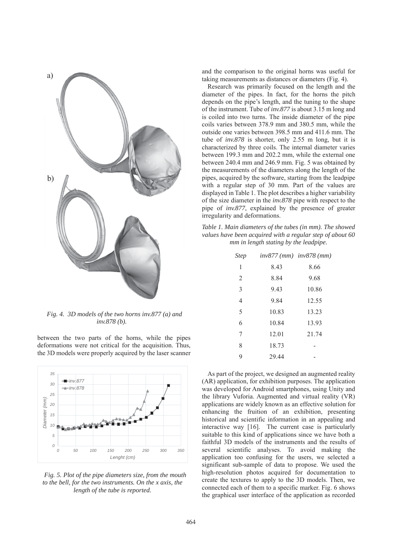

*Fig. 4. 3D models of the two horns inv.877 (a) and inv.878 (b).*

between the two parts of the horns, while the pipes deformations were not critical for the acquisition. Thus, the 3D models were properly acquired by the laser scanner



*Fig. 5. Plot of the pipe diameters size, from the mouth to the bell, for the two instruments. On the x axis, the length of the tube is reported.*

and the comparison to the original horns was useful for taking measurements as distances or diameters (Fig. 4).

Research was primarily focused on the length and the diameter of the pipes. In fact, for the horns the pitch depends on the pipe's length, and the tuning to the shape of the instrument. Tube of *inv.877* is about 3.15 m long and is coiled into two turns. The inside diameter of the pipe coils varies between 378.9 mm and 380.5 mm, while the outside one varies between 398.5 mm and 411.6 mm. The tube of *inv.878* is shorter, only 2.55 m long, but it is characterized by three coils. The internal diameter varies between 199.3 mm and 202.2 mm, while the external one between 240.4 mm and 246.9 mm. Fig. 5 was obtained by the measurements of the diameters along the length of the pipes, acquired by the software, starting from the leadpipe with a regular step of 30 mm. Part of the values are displayed in Table 1. The plot describes a higher variability of the size diameter in the *inv.878* pipe with respect to the pipe of *inv.877*, explained by the presence of greater irregularity and deformations.

*Table 1. Main diameters of the tubes (in mm). The showed values have been acquired with a regular step of about 60 mm in length stating by the leadpipe.*

| <b>Step</b> | $inv877$ (mm) $inv878$ (mm) |       |
|-------------|-----------------------------|-------|
| 1           | 8.43                        | 8.66  |
| 2           | 8.84                        | 9.68  |
| 3           | 9.43                        | 10.86 |
| 4           | 9.84                        | 12.55 |
| 5           | 10.83                       | 13.23 |
| 6           | 10.84                       | 13.93 |
| 7           | 12.01                       | 21.74 |
| 8           | 18.73                       |       |
| 9           | 29.44                       |       |

As part of the project, we designed an augmented reality (AR) application, for exhibition purposes. The application was developed for Android smartphones, using Unity and the library Vuforia. Augmented and virtual reality (VR) applications are widely known as an effective solution for enhancing the fruition of an exhibition, presenting historical and scientific information in an appealing and interactive way [16]. The current case is particularly suitable to this kind of applications since we have both a faithful 3D models of the instruments and the results of several scientific analyses. To avoid making the application too confusing for the users, we selected a significant sub-sample of data to propose. We used the high-resolution photos acquired for documentation to create the textures to apply to the 3D models. Then, we connected each of them to a specific marker. Fig. 6 shows the graphical user interface of the application as recorded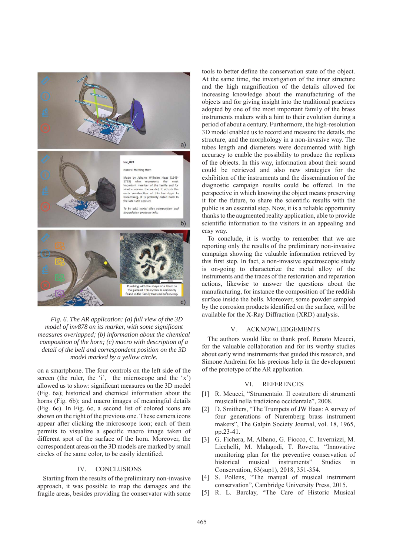

*Fig. 6. The AR application: (a) full view of the 3D model of inv878 on its marker, with some significant measures overlapped; (b) information about the chemical composition of the horn; (c) macro with description of a detail of the bell and correspondent position on the 3D model marked by a yellow circle.*

on a smartphone. The four controls on the left side of the screen (the ruler, the 'i', the microscope and the 'x') allowed us to show: significant measures on the 3D model (Fig. 6a); historical and chemical information about the horns (Fig. 6b); and macro images of meaningful details (Fig. 6c). In Fig. 6c, a second list of colored icons are shown on the right of the previous one. These camera icons appear after clicking the microscope icon; each of them permits to visualize a specific macro image taken of different spot of the surface of the horn. Moreover, the correspondent areas on the 3D models are marked by small circles of the same color, to be easily identified.

### IV. CONCLUSIONS

Starting from the results of the preliminary non-invasive approach, it was possible to map the damages and the fragile areas, besides providing the conservator with some tools to better define the conservation state of the object. At the same time, the investigation of the inner structure and the high magnification of the details allowed for increasing knowledge about the manufacturing of the objects and for giving insight into the traditional practices adopted by one of the most important family of the brass instruments makers with a hint to their evolution during a period of about a century. Furthermore, the high-resolution 3D model enabled us to record and measure the details, the structure, and the morphology in a non-invasive way. The tubes length and diameters were documented with high accuracy to enable the possibility to produce the replicas of the objects. In this way, information about their sound could be retrieved and also new strategies for the exhibition of the instruments and the dissemination of the diagnostic campaign results could be offered. In the perspective in which knowing the object means preserving it for the future, to share the scientific results with the public is an essential step. Now, it is a reliable opportunity thanks to the augmented reality application, able to provide scientific information to the visitors in an appealing and easy way.

To conclude, it is worthy to remember that we are reporting only the results of the preliminary non-invasive campaign showing the valuable information retrieved by this first step. In fact, a non-invasive spectroscopic study is on-going to characterize the metal alloy of the instruments and the traces of the restoration and reparation actions, likewise to answer the questions about the manufacturing, for instance the composition of the reddish surface inside the bells. Moreover, some powder sampled by the corrosion products identified on the surface, will be available for the X-Ray Diffraction (XRD) analysis.

#### V. ACKNOWLEDGEMENTS

The authors would like to thank prof. Renato Meucci, for the valuable collaboration and for its worthy studies about early wind instruments that guided this research, and Simone Andreini for his precious help in the development of the prototype of the AR application.

#### VI. REFERENCES

- [1] R. Meucci, "Strumentaio. Il costruttore di strumenti musicali nella tradizione occidentale", 2008.
- [2] D. Smithers, "The Trumpets of JW Haas: A survey of four generations of Nuremberg brass instrument makers", The Galpin Society Journal, vol. 18, 1965, pp.23-41.
- [3] G. Fichera, M. Albano, G. Fiocco, C. Invernizzi, M. Licchelli, M. Malagodi, T. Rovetta, "Innovative monitoring plan for the preventive conservation of historical musical instruments" Studies in Conservation, 63(sup1), 2018, 351-354.
- [4] S. Pollens, "The manual of musical instrument conservation", Cambridge University Press, 2015.
- [5] R. L. Barclay, "The Care of Historic Musical